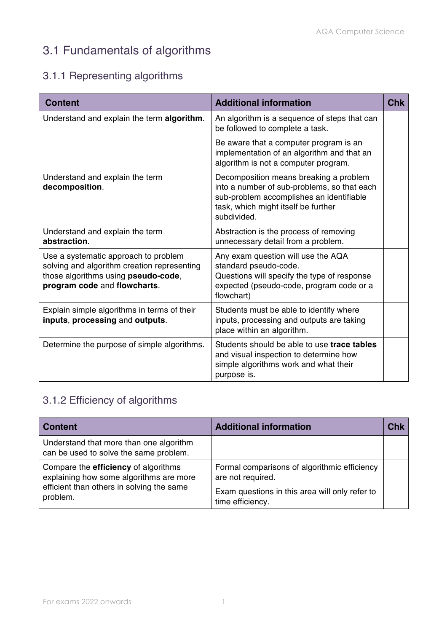# 3.1 Fundamentals of algorithms

#### 3.1.1 Representing algorithms

| <b>Content</b>                                                                                                                                             | <b>Additional information</b>                                                                                                                                                           | <b>Chk</b> |
|------------------------------------------------------------------------------------------------------------------------------------------------------------|-----------------------------------------------------------------------------------------------------------------------------------------------------------------------------------------|------------|
| Understand and explain the term algorithm.                                                                                                                 | An algorithm is a sequence of steps that can<br>be followed to complete a task.                                                                                                         |            |
|                                                                                                                                                            | Be aware that a computer program is an<br>implementation of an algorithm and that an<br>algorithm is not a computer program.                                                            |            |
| Understand and explain the term<br>decomposition.                                                                                                          | Decomposition means breaking a problem<br>into a number of sub-problems, so that each<br>sub-problem accomplishes an identifiable<br>task, which might itself be further<br>subdivided. |            |
| Understand and explain the term<br>abstraction.                                                                                                            | Abstraction is the process of removing<br>unnecessary detail from a problem.                                                                                                            |            |
| Use a systematic approach to problem<br>solving and algorithm creation representing<br>those algorithms using pseudo-code,<br>program code and flowcharts. | Any exam question will use the AQA<br>standard pseudo-code.<br>Questions will specify the type of response<br>expected (pseudo-code, program code or a<br>flowchart)                    |            |
| Explain simple algorithms in terms of their<br>inputs, processing and outputs.                                                                             | Students must be able to identify where<br>inputs, processing and outputs are taking<br>place within an algorithm.                                                                      |            |
| Determine the purpose of simple algorithms.                                                                                                                | Students should be able to use trace tables<br>and visual inspection to determine how<br>simple algorithms work and what their<br>purpose is.                                           |            |

#### 3.1.2 Efficiency of algorithms

| <b>Content</b>                                                                                                                                  | <b>Additional information</b>                                                                                                           | <b>Chk</b> |
|-------------------------------------------------------------------------------------------------------------------------------------------------|-----------------------------------------------------------------------------------------------------------------------------------------|------------|
| Understand that more than one algorithm<br>can be used to solve the same problem.                                                               |                                                                                                                                         |            |
| Compare the <b>efficiency</b> of algorithms<br>explaining how some algorithms are more<br>efficient than others in solving the same<br>problem. | Formal comparisons of algorithmic efficiency<br>are not required.<br>Exam questions in this area will only refer to<br>time efficiency. |            |